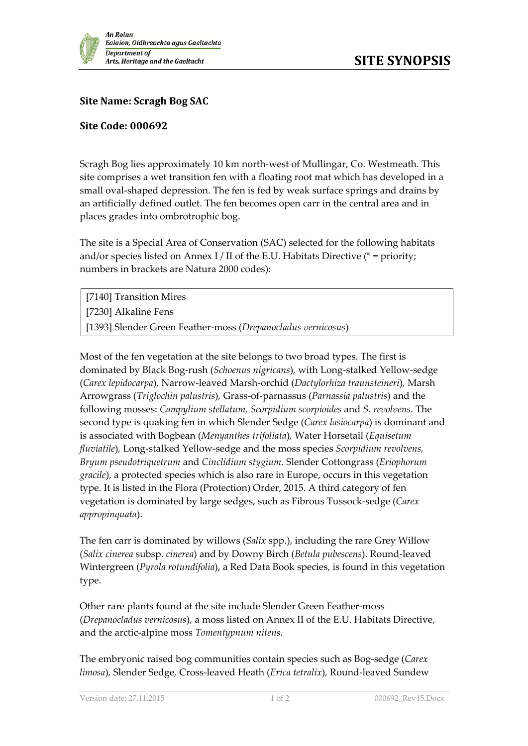

## **Site Name: Scragh Bog SAC**

## **Site Code: 000692**

Scragh Bog lies approximately 10 km north-west of Mullingar, Co. Westmeath. This site comprises a wet transition fen with a floating root mat which has developed in a small oval-shaped depression. The fen is fed by weak surface springs and drains by an artificially defined outlet. The fen becomes open carr in the central area and in places grades into ombrotrophic bog.

The site is a Special Area of Conservation (SAC) selected for the following habitats and/or species listed on Annex I / II of the E.U. Habitats Directive ( $*$  = priority; numbers in brackets are Natura 2000 codes):

[7140] Transition Mires [7230] Alkaline Fens [1393] Slender Green Feather-moss (*Drepanocladus vernicosus*)

Most of the fen vegetation at the site belongs to two broad types. The first is dominated by Black Bog-rush (*Schoenus nigricans*)*,* with Long-stalked Yellow-sedge (*Carex lepidocarpa*)*,* Narrow-leaved Marsh-orchid (*Dactylorhiza traunsteineri*)*,* Marsh Arrowgrass (*Triglochin palustris*)*,* Grass-of-parnassus (*Parnassia palustris*) and the following mosses: *Campylium stellatum, Scorpidium scorpioides* and *S. revolvens*. The second type is quaking fen in which Slender Sedge (*Carex lasiocarpa*) is dominant and is associated with Bogbean (*Menyanthes trifoliata*)*,* Water Horsetail (*Equisetum fluviatile*)*,* Long-stalked Yellow-sedge and the moss species *Scorpidium revolvens, Bryum pseudotriquetrum* and *Cinclidium stygium.* Slender Cottongrass (*Eriophorum gracile*), a protected species which is also rare in Europe, occurs in this vegetation type. It is listed in the Flora (Protection) Order, 2015. A third category of fen vegetation is dominated by large sedges, such as Fibrous Tussock-sedge (*Carex appropinquata*).

The fen carr is dominated by willows (*Salix* spp.), including the rare Grey Willow (*Salix cinerea* subsp. *cinerea*) and by Downy Birch (*Betula pubescens*). Round-leaved Wintergreen (*Pyrola rotundifolia*), a Red Data Book species, is found in this vegetation type.

Other rare plants found at the site include Slender Green Feather-moss (*Drepanocladus vernicosus*), a moss listed on Annex II of the E.U. Habitats Directive, and the arctic-alpine moss *Tomentypnum nitens*.

The embryonic raised bog communities contain species such as Bog-sedge (*Carex limosa*)*,* Slender Sedge*,* Cross-leaved Heath (*Erica tetralix*)*,* Round-leaved Sundew